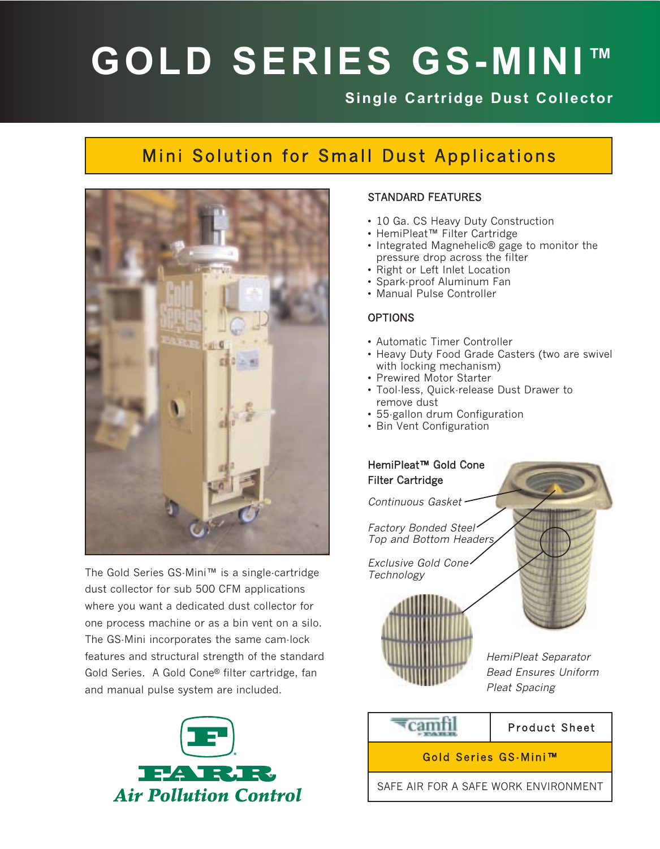# **GOLD SERIES GS-MINI™**

## **Single Cartridge Dust Collector**

# Mini Solution for Small Dust Applications



The Gold Series GS-Mini™ is a single-cartridge dust collector for sub 500 CFM applications where you want a dedicated dust collector for one process machine or as a bin vent on a silo. The GS-Mini incorporates the same cam-lock features and structural strength of the standard Gold Series. A Gold Cone® filter cartridge, fan and manual pulse system are included.



#### STANDARD FEATURES

- 10 Ga. CS Heavy Duty Construction
- HemiPleat™ Filter Cartridge
- Integrated Magnehelic® gage to monitor the pressure drop across the filter
- Right or Left Inlet Location
- Spark-proof Aluminum Fan
- Manual Pulse Controller

#### **OPTIONS**

- Automatic Timer Controller
- Heavy Duty Food Grade Casters (two are swivel with locking mechanism)
- Prewired Motor Starter
- Tool-less, Quick-release Dust Drawer to remove dust
- 55-gallon drum Configuration
- Bin Vent Configuration

### HemiPleat™ Gold Cone Filter Cartridge

Continuous Gasket Factory Bonded Steel

Top and Bottom Headers

Exclusive Gold Cone **Technology** 



HemiPleat Separator Bead Ensures Uniform Pleat Spacing

Product Sheet

Gold Series GS-Mini™

SAFE AIR FOR A SAFE WORK ENVIRONMENT